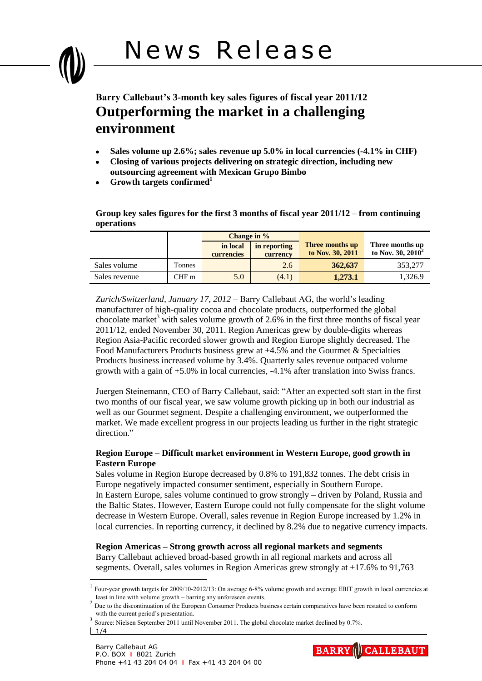

- **Sales volume up 2.6%; sales revenue up 5.0% in local currencies (-4.1% in CHF)**
- **Closing of various projects delivering on strategic direction, including new outsourcing agreement with Mexican Grupo Bimbo**
- **Growth targets confirmed<sup>1</sup>**

**Group key sales figures for the first 3 months of fiscal year 2011/12 – from continuing operations**

|               |                  | Change in %            |                          |                                     |                                         |
|---------------|------------------|------------------------|--------------------------|-------------------------------------|-----------------------------------------|
|               |                  | in local<br>currencies | in reporting<br>currency | Three months up<br>to Nov. 30, 2011 | Three months up<br>to Nov. 30, $2010^2$ |
| Sales volume  | Tonnes           |                        | 2.6                      | 362,637                             | 353,277                                 |
| Sales revenue | CHF <sub>m</sub> | 5.0                    | (4.1)                    | 1,273.1                             | 1.326.9                                 |

*Zurich/Switzerland, January 17, 2012* – Barry Callebaut AG, the world's leading manufacturer of high-quality cocoa and chocolate products, outperformed the global chocolate market<sup>3</sup> with sales volume growth of 2.6% in the first three months of fiscal year 2011/12, ended November 30, 2011. Region Americas grew by double-digits whereas Region Asia-Pacific recorded slower growth and Region Europe slightly decreased. The Food Manufacturers Products business grew at +4.5% and the Gourmet & Specialties Products business increased volume by 3.4%. Quarterly sales revenue outpaced volume growth with a gain of +5.0% in local currencies, -4.1% after translation into Swiss francs.

Juergen Steinemann, CEO of Barry Callebaut, said: "After an expected soft start in the first two months of our fiscal year, we saw volume growth picking up in both our industrial as well as our Gourmet segment. Despite a challenging environment, we outperformed the market. We made excellent progress in our projects leading us further in the right strategic direction."

## **Region Europe – Difficult market environment in Western Europe, good growth in Eastern Europe**

Sales volume in Region Europe decreased by 0.8% to 191,832 tonnes. The debt crisis in Europe negatively impacted consumer sentiment, especially in Southern Europe. In Eastern Europe, sales volume continued to grow strongly – driven by Poland, Russia and the Baltic States. However, Eastern Europe could not fully compensate for the slight volume decrease in Western Europe. Overall, sales revenue in Region Europe increased by 1.2% in local currencies. In reporting currency, it declined by 8.2% due to negative currency impacts.

**Region Americas – Strong growth across all regional markets and segments** Barry Callebaut achieved broad-based growth in all regional markets and across all segments. Overall, sales volumes in Region Americas grew strongly at +17.6% to 91,763

 $\overline{a}$ 



<sup>1</sup> Four-year growth targets for 2009/10-2012/13: On average 6-8% volume growth and average EBIT growth in local currencies at least in line with volume growth – barring any unforeseen events.

<sup>&</sup>lt;sup>2</sup> Due to the discontinuation of the European Consumer Products business certain comparatives have been restated to conform with the current period's presentation.

<sup>3</sup> Source: Nielsen September 2011 until November 2011. The global chocolate market declined by 0.7%.

 $1/4$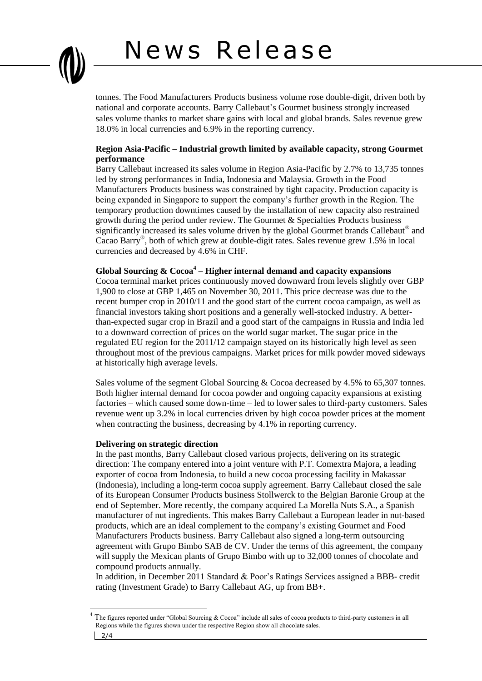# News Release



tonnes. The Food Manufacturers Products business volume rose double-digit, driven both by national and corporate accounts. Barry Callebaut's Gourmet business strongly increased sales volume thanks to market share gains with local and global brands. Sales revenue grew 18.0% in local currencies and 6.9% in the reporting currency.

## **Region Asia-Pacific – Industrial growth limited by available capacity, strong Gourmet performance**

Barry Callebaut increased its sales volume in Region Asia-Pacific by 2.7% to 13,735 tonnes led by strong performances in India, Indonesia and Malaysia. Growth in the Food Manufacturers Products business was constrained by tight capacity. Production capacity is being expanded in Singapore to support the company's further growth in the Region. The temporary production downtimes caused by the installation of new capacity also restrained growth during the period under review. The Gourmet & Specialties Products business significantly increased its sales volume driven by the global Gourmet brands Callebaut<sup>®</sup> and Cacao Barry® , both of which grew at double-digit rates. Sales revenue grew 1.5% in local currencies and decreased by 4.6% in CHF.

**Global Sourcing & Cocoa<sup>4</sup> – Higher internal demand and capacity expansions**

Cocoa terminal market prices continuously moved downward from levels slightly over GBP 1,900 to close at GBP 1,465 on November 30, 2011. This price decrease was due to the recent bumper crop in 2010/11 and the good start of the current cocoa campaign, as well as financial investors taking short positions and a generally well-stocked industry. A betterthan-expected sugar crop in Brazil and a good start of the campaigns in Russia and India led to a downward correction of prices on the world sugar market. The sugar price in the regulated EU region for the 2011/12 campaign stayed on its historically high level as seen throughout most of the previous campaigns. Market prices for milk powder moved sideways at historically high average levels.

Sales volume of the segment Global Sourcing & Cocoa decreased by 4.5% to 65,307 tonnes. Both higher internal demand for cocoa powder and ongoing capacity expansions at existing factories – which caused some down-time – led to lower sales to third-party customers. Sales revenue went up 3.2% in local currencies driven by high cocoa powder prices at the moment when contracting the business, decreasing by 4.1% in reporting currency.

### **Delivering on strategic direction**

In the past months, Barry Callebaut closed various projects, delivering on its strategic direction: The company entered into a joint venture with P.T. Comextra Majora, a leading exporter of cocoa from Indonesia, to build a new cocoa processing facility in Makassar (Indonesia), including a long-term cocoa supply agreement. Barry Callebaut closed the sale of its European Consumer Products business Stollwerck to the Belgian Baronie Group at the end of September. More recently, the company acquired La Morella Nuts S.A., a Spanish manufacturer of nut ingredients. This makes Barry Callebaut a European leader in nut-based products, which are an ideal complement to the company's existing Gourmet and Food Manufacturers Products business. Barry Callebaut also signed a long-term outsourcing agreement with Grupo Bimbo SAB de CV. Under the terms of this agreement, the company will supply the Mexican plants of Grupo Bimbo with up to 32,000 tonnes of chocolate and compound products annually.

In addition, in December 2011 Standard & Poor's Ratings Services assigned a BBB- credit rating (Investment Grade) to Barry Callebaut AG, up from BB+.

 $\overline{a}$ 

The figures reported under "Global Sourcing & Cocoa" include all sales of cocoa products to third-party customers in all Regions while the figures shown under the respective Region show all chocolate sales.

<sup>2/4</sup>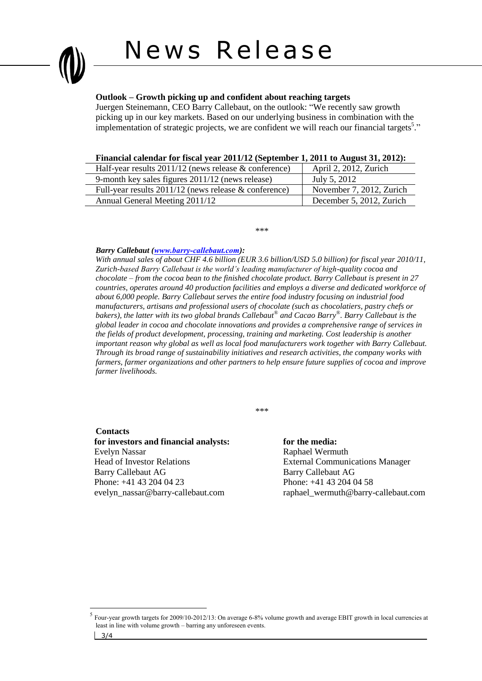# News Release

### **Outlook – Growth picking up and confident about reaching targets**

Juergen Steinemann, CEO Barry Callebaut, on the outlook: "We recently saw growth picking up in our key markets. Based on our underlying business in combination with the implementation of strategic projects, we are confident we will reach our financial targets<sup>5</sup>."

#### **Financial calendar for fiscal year 2011/12 (September 1, 2011 to August 31, 2012):**

| Half-year results $2011/12$ (news release & conference) | April 2, 2012, Zurich    |
|---------------------------------------------------------|--------------------------|
| 9-month key sales figures 2011/12 (news release)        | July 5, 2012             |
| Full-year results $2011/12$ (news release & conference) | November 7, 2012, Zurich |
| Annual General Meeting 2011/12                          | December 5, 2012, Zurich |

\*\*\*

#### *Barry Callebaut ([www.barry-callebaut.com](http://www.barry-callebaut.com/)):*

*With annual sales of about CHF 4.6 billion (EUR 3.6 billion/USD 5.0 billion) for fiscal year 2010/11, Zurich-based Barry Callebaut is the world's leading manufacturer of high-quality cocoa and chocolate – from the cocoa bean to the finished chocolate product. Barry Callebaut is present in 27 countries, operates around 40 production facilities and employs a diverse and dedicated workforce of about 6,000 people. Barry Callebaut serves the entire food industry focusing on industrial food manufacturers, artisans and professional users of chocolate (such as chocolatiers, pastry chefs or bakers), the latter with its two global brands Callebaut® and Cacao Barry® . Barry Callebaut is the global leader in cocoa and chocolate innovations and provides a comprehensive range of services in the fields of product development, processing, training and marketing. Cost leadership is another important reason why global as well as local food manufacturers work together with Barry Callebaut. Through its broad range of sustainability initiatives and research activities, the company works with farmers, farmer organizations and other partners to help ensure future supplies of cocoa and improve farmer livelihoods.*

\*\*\*

#### **Contacts**

 $\overline{a}$ 

**for investors and financial analysts: for the media:** Evelyn Nassar Raphael Wermuth Head of Investor Relations External Communications Manager Barry Callebaut AG Barry Callebaut AG Phone: +41 43 204 04 23 Phone: +41 43 204 04 58 evelyn\_nassar@barry-callebaut.com raphael\_wermuth@barry-callebaut.com

<sup>3/4</sup> 5 Four-year growth targets for 2009/10-2012/13: On average 6-8% volume growth and average EBIT growth in local currencies at least in line with volume growth – barring any unforeseen events.